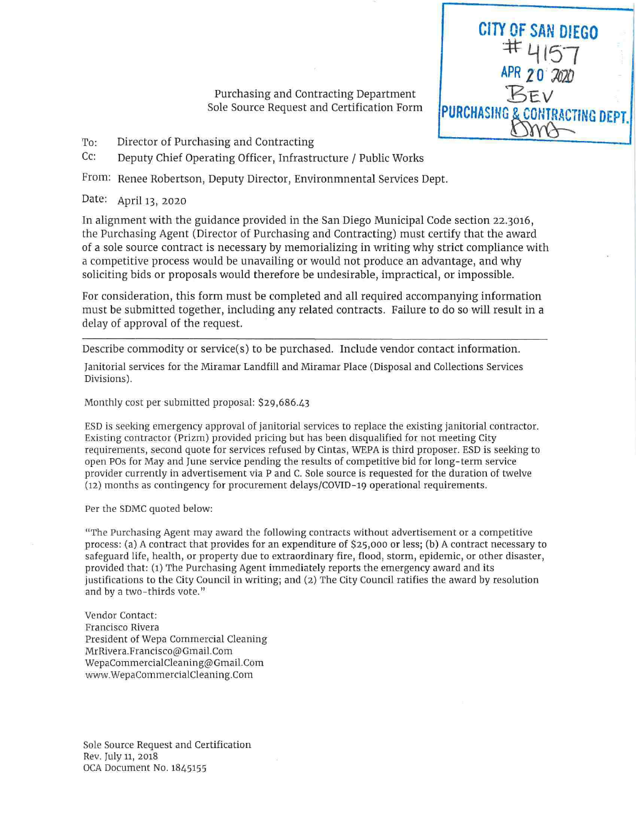Purchasing and Contracting Department Sole Source Request and Certification Form **CITY OF SAN DIEGO** 

APR 20 2020

**PURCHASING & CONTRACTING DEPT** 

Director of Purchasing and Contracting To:

Cc: Deputy Chief Operating Officer, Infrastructure / Public Works

From: Renee Robertson, Deputy Director, Environmnental Services Dept.

Date: April 13, 2020

In alignment with the guidance provided in the San Diego Municipal Code section 22.3016, the Purchasing Agent (Director of Purchasing and Contracting) must certify that the award of a sole source contract is necessary by memorializing in writing why strict compliance with a competitive process would be unavailing or would not produce an advantage, and why soliciting bids or proposals would therefore be undesirable, impractical, or impossible.

For consideration, this form must be completed and all required accompanying information must be submitted together, including any related contracts. Failure to do so will result in a delay of approval of the request.

Describe commodity or service(s) to be purchased. Include vendor contact information.

Janitorial services for the Miramar Landfill and Miramar Place (Disposal and Collections Services Divisions).

Monthly cost per submitted proposal: \$29,686.43

ESD is seeking emergency approval of janitorial services to replace the existing janitorial contractor. Existing contractor (Prizm) provided pricing but has been disqualified for not meeting City requirements, second quote for services refused by Cintas, WEPA is third proposer. ESD is seeking to open POs for May and June service pending the results of competitive bid for long-term service provider currently in advertisement via P and C. Sole source is requested for the duration of twelve (12) months as contingency for procurement delays/COVID-19 operational requirements.

Per the SDMC quoted below:

"The Purchasing Agent may award the following contracts without advertisement or a competitive process: (a) A contract that provides for an expenditure of \$25,000 or less; (b) A contract necessary to safeguard life, health, or property due to extraordinary fire, flood, storm, epidemic, or other disaster, provided that: (1) The Purchasing Agent immediately reports the emergency award and its justifications to the City Council in writing; and (2) The City Council ratifies the award by resolution and by a two-thirds vote."

Vendor Contact: Francisco Rivera President of Wepa Commercial Cleaning MrRivera.Francisco@Gmail.Com WepaCommercialCleaning@Gmail.Com www.WepaCommercialCleaning.Com

Sole Source Request and Certification Rev. July 11, 2018 OCA Document No. 1845155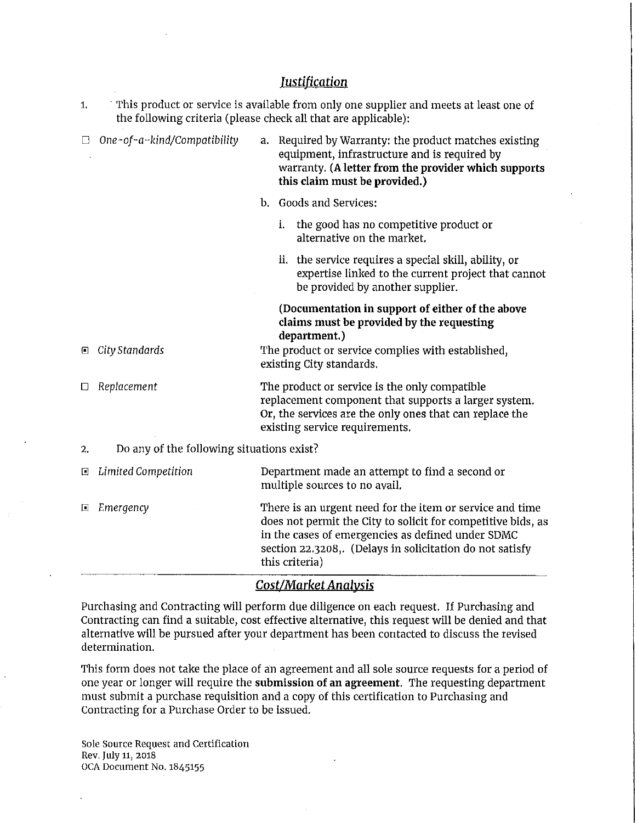| <b>Justification</b> |                                                                                                                                                                      |                                                                                                                                                                                                                                                             |                                                                                                                                                                                                |  |
|----------------------|----------------------------------------------------------------------------------------------------------------------------------------------------------------------|-------------------------------------------------------------------------------------------------------------------------------------------------------------------------------------------------------------------------------------------------------------|------------------------------------------------------------------------------------------------------------------------------------------------------------------------------------------------|--|
| 1.                   | $\therefore$ This product or service is available from only one supplier and meets at least one of<br>the following criteria (please check all that are applicable): |                                                                                                                                                                                                                                                             |                                                                                                                                                                                                |  |
| U                    | One-of-a-kind/Compatibility                                                                                                                                          |                                                                                                                                                                                                                                                             | a. Required by Warranty: the product matches existing<br>equipment, infrastructure and is required by<br>warranty. (A letter from the provider which supports<br>this claim must be provided.) |  |
|                      |                                                                                                                                                                      |                                                                                                                                                                                                                                                             | b. Goods and Services:                                                                                                                                                                         |  |
|                      |                                                                                                                                                                      |                                                                                                                                                                                                                                                             | the good has no competitive product or<br>i.<br>alternative on the market.                                                                                                                     |  |
|                      |                                                                                                                                                                      |                                                                                                                                                                                                                                                             | ii. the service requires a special skill, ability, or<br>expertise linked to the current project that cannot<br>be provided by another supplier.                                               |  |
|                      |                                                                                                                                                                      |                                                                                                                                                                                                                                                             | (Documentation in support of either of the above<br>claims must be provided by the requesting<br>department.)                                                                                  |  |
| ▣                    | City Standards                                                                                                                                                       | The product or service complies with established,<br>existing City standards.                                                                                                                                                                               |                                                                                                                                                                                                |  |
| ◻                    | Replacement                                                                                                                                                          | The product or service is the only compatible<br>replacement component that supports a larger system.<br>Or, the services are the only ones that can replace the<br>existing service requirements.                                                          |                                                                                                                                                                                                |  |
| 2.                   | Do any of the following situations exist?                                                                                                                            |                                                                                                                                                                                                                                                             |                                                                                                                                                                                                |  |
| ⊡                    | Limited Competition                                                                                                                                                  | Department made an attempt to find a second or<br>multiple sources to no avail.                                                                                                                                                                             |                                                                                                                                                                                                |  |
| D                    | Emergency                                                                                                                                                            | There is an urgent need for the item or service and time<br>does not permit the City to solicit for competitive bids, as<br>in the cases of emergencies as defined under SDMC<br>section 22.3208,. (Delays in solicitation do not satisfy<br>this criteria) |                                                                                                                                                                                                |  |

## *Cost/Market Analysis*

Purchasing and Contracting will perform due diligence on each request. If Purchasing and Contracting can find a suitable, cost effective alternative, this request will be denied and that alternative will be pursued after your department has been contacted to discuss the revised determination.

This form does not take the place of an agreement and all sole source requests for a period of one year or longer will require the **submission of an agreement.** The requesting department must submit a purchase requisition and a copy of this certification to Purchasing and Contracting for a Purchase Order to be issued.

Sole Source Request and Certification Rev, July 11, 2018 OCA Document No. 1845155